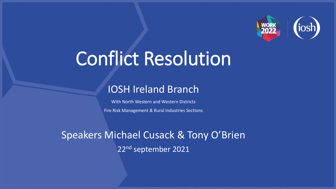

## Conflict Resolution

## IOSH Ireland Branch

With North Western and Western Districts Fire Risk Management & Rural Industries Sections

Speakers Michael Cusack & Tony O'Brien 22nd september 2021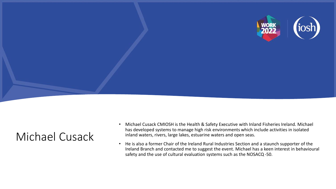

## Michael Cusack

- Michael Cusack CMIOSH is the Health & Safety Executive with Inland Fisheries Ireland. Michael has developed systems to manage high risk environments which include activities in isolated inland waters, rivers, large lakes, estuarine waters and open seas.
- He is also a former Chair of the Ireland Rural Industries Section and a staunch supporter of the Ireland Branch and contacted me to suggest the event. Michael has a keen interest in behavioural safety and the use of cultural evaluation systems such as the NOSACQ -50.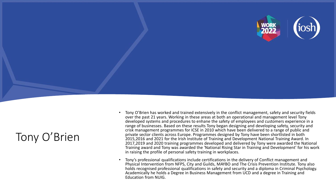

## Tony O'Brien

- Tony O'Brien has worked and trained extensively in the conflict management, safety and security fields over the past 21 years. Working in these areas at both an operational and management level Tony developed systems and procedures to enhane the safety of employees and customers experience in a range of businesses. Based on these results Tony began designing and developing safety, security and crisk management programmes for ICSE in 2010 which have been delivered to a range of public and private sector clients across Europe. Programmes designed by Tony have been shortlisted in both 2015,2016 and 2021 for the Irish Institute of Training and Development National Training Award. In 2017,2019 and 2020 training programmes developed and delivered by Tony were awarded the National Training award and Tony was awarded the 'National Rising Star in Training and Development' for his work in raising the profile of personal safety training in workplaces.
- Tony's professional qualifications include certifications in the delivery of Conflict management and Physical Intervention from NFPS, City and Guilds, MAYBO and The Crisis Prevention Institute. Tony also holds recognised professional qualifications in safety and security and a diploma in Criminal Psychology. Academically he holds a Degree in Business Management from UCD and a degree in Training and Education from NUIG.